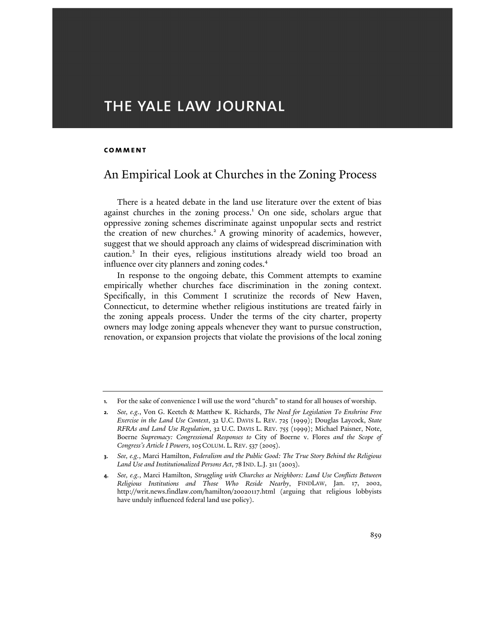# THE YALE LAW JOURNAL

#### **comment**

l

# An Empirical Look at Churches in the Zoning Process

There is a heated debate in the land use literature over the extent of bias against churches in the zoning process.<sup>1</sup> On one side, scholars argue that oppressive zoning schemes discriminate against unpopular sects and restrict the creation of new churches.<sup>2</sup> A growing minority of academics, however, suggest that we should approach any claims of widespread discrimination with caution.<sup>3</sup> In their eyes, religious institutions already wield too broad an influence over city planners and zoning codes.<sup>4</sup>

In response to the ongoing debate, this Comment attempts to examine empirically whether churches face discrimination in the zoning context. Specifically, in this Comment I scrutinize the records of New Haven, Connecticut, to determine whether religious institutions are treated fairly in the zoning appeals process. Under the terms of the city charter, property owners may lodge zoning appeals whenever they want to pursue construction, renovation, or expansion projects that violate the provisions of the local zoning

**<sup>1.</sup>** For the sake of convenience I will use the word "church" to stand for all houses of worship.

**<sup>2.</sup>** *See, e.g.*, Von G. Keetch & Matthew K. Richards, *The Need for Legislation To Enshrine Free Exercise in the Land Use Context*, 32 U.C. DAVIS L. REV. 725 (1999); Douglas Laycock, *State RFRAs and Land Use Regulation*, 32 U.C. DAVIS L. REV. 755 (1999); Michael Paisner, Note, Boerne *Supremacy: Congressional Responses to* City of Boerne v. Flores *and the Scope of Congress's Article I Powers*, 105 COLUM. L. REV. 537 (2005).

**<sup>3.</sup>** *See, e.g.*, Marci Hamilton, *Federalism and the Public Good: The True Story Behind the Religious Land Use and Institutionalized Persons Act*, 78 IND. L.J. 311 (2003).

**<sup>4.</sup>** *See, e.g.*, Marci Hamilton, *Struggling with Churches as Neighbors: Land Use Conflicts Between Religious Institutions and Those Who Reside Nearby*, FINDLAW, Jan. 17, 2002, http://writ.news.findlaw.com/hamilton/20020117.html (arguing that religious lobbyists have unduly influenced federal land use policy).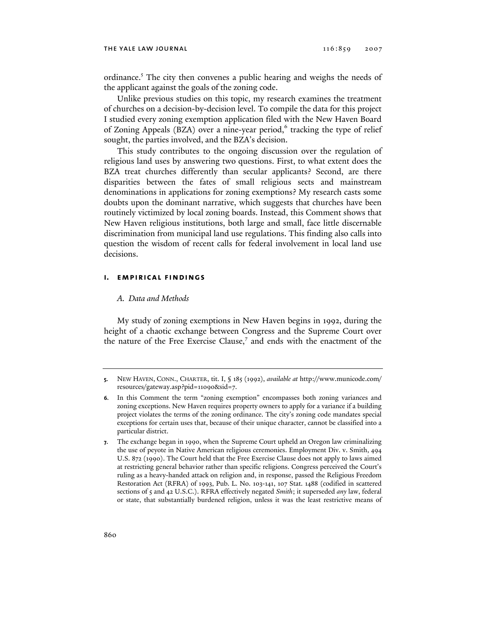ordinance.<sup>5</sup> The city then convenes a public hearing and weighs the needs of the applicant against the goals of the zoning code.

Unlike previous studies on this topic, my research examines the treatment of churches on a decision-by-decision level. To compile the data for this project I studied every zoning exemption application filed with the New Haven Board of Zoning Appeals (BZA) over a nine-year period,<sup>6</sup> tracking the type of relief sought, the parties involved, and the BZA's decision.

This study contributes to the ongoing discussion over the regulation of religious land uses by answering two questions. First, to what extent does the BZA treat churches differently than secular applicants? Second, are there disparities between the fates of small religious sects and mainstream denominations in applications for zoning exemptions? My research casts some doubts upon the dominant narrative, which suggests that churches have been routinely victimized by local zoning boards. Instead, this Comment shows that New Haven religious institutions, both large and small, face little discernable discrimination from municipal land use regulations. This finding also calls into question the wisdom of recent calls for federal involvement in local land use decisions.

# **i. empirical findings**

# *A. Data and Methods*

My study of zoning exemptions in New Haven begins in 1992, during the height of a chaotic exchange between Congress and the Supreme Court over the nature of the Free Exercise Clause,<sup>7</sup> and ends with the enactment of the

**<sup>5.</sup>** NEW HAVEN, CONN., CHARTER, tit. I, § 185 (1992), *available at* http://www.municode.com/ resources/gateway.asp?pid=11090&sid=7.

**<sup>6.</sup>** In this Comment the term "zoning exemption" encompasses both zoning variances and zoning exceptions. New Haven requires property owners to apply for a variance if a building project violates the terms of the zoning ordinance. The city's zoning code mandates special exceptions for certain uses that, because of their unique character, cannot be classified into a particular district.

**<sup>7.</sup>** The exchange began in 1990, when the Supreme Court upheld an Oregon law criminalizing the use of peyote in Native American religious ceremonies. Employment Div. v. Smith, 494 U.S. 872 (1990). The Court held that the Free Exercise Clause does not apply to laws aimed at restricting general behavior rather than specific religions. Congress perceived the Court's ruling as a heavy-handed attack on religion and, in response, passed the Religious Freedom Restoration Act (RFRA) of 1993, Pub. L. No. 103-141, 107 Stat. 1488 (codified in scattered sections of 5 and 42 U.S.C.). RFRA effectively negated *Smith*; it superseded *any* law, federal or state, that substantially burdened religion, unless it was the least restrictive means of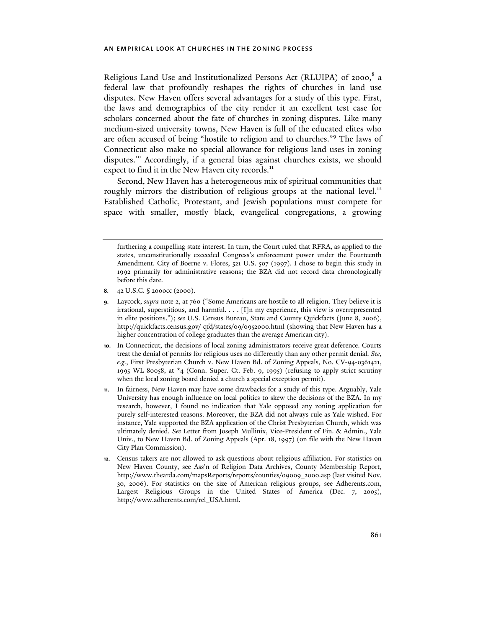Religious Land Use and Institutionalized Persons Act (RLUIPA) of 2000,8 a federal law that profoundly reshapes the rights of churches in land use disputes. New Haven offers several advantages for a study of this type. First, the laws and demographics of the city render it an excellent test case for scholars concerned about the fate of churches in zoning disputes. Like many medium-sized university towns, New Haven is full of the educated elites who are often accused of being "hostile to religion and to churches."<sup>9</sup> The laws of Connecticut also make no special allowance for religious land uses in zoning disputes.<sup>10</sup> Accordingly, if a general bias against churches exists, we should expect to find it in the New Haven city records.<sup>11</sup>

Second, New Haven has a heterogeneous mix of spiritual communities that roughly mirrors the distribution of religious groups at the national level.<sup>12</sup> Established Catholic, Protestant, and Jewish populations must compete for space with smaller, mostly black, evangelical congregations, a growing

- **8.** 42 U.S.C. § 2000cc (2000).
- **9.** Laycock, *supra* note 2, at 760 ("Some Americans are hostile to all religion. They believe it is irrational, superstitious, and harmful. . . . [I]n my experience, this view is overrepresented in elite positions."); *see* U.S. Census Bureau, State and County Quickfacts (June 8, 2006), http://quickfacts.census.gov/ qfd/states/09/0952000.html (showing that New Haven has a higher concentration of college graduates than the average American city).
- **10.** In Connecticut, the decisions of local zoning administrators receive great deference. Courts treat the denial of permits for religious uses no differently than any other permit denial. *See, e.g.*, First Presbyterian Church v. New Haven Bd. of Zoning Appeals, No. CV-94-0361421, 1995 WL 80058, at \*4 (Conn. Super. Ct. Feb. 9, 1995) (refusing to apply strict scrutiny when the local zoning board denied a church a special exception permit).
- **11.** In fairness, New Haven may have some drawbacks for a study of this type. Arguably, Yale University has enough influence on local politics to skew the decisions of the BZA. In my research, however, I found no indication that Yale opposed any zoning application for purely self-interested reasons. Moreover, the BZA did not always rule as Yale wished. For instance, Yale supported the BZA application of the Christ Presbyterian Church, which was ultimately denied. *See* Letter from Joseph Mullinix, Vice-President of Fin. & Admin., Yale Univ., to New Haven Bd. of Zoning Appeals (Apr. 18, 1997) (on file with the New Haven City Plan Commission).
- **12.** Census takers are not allowed to ask questions about religious affiliation. For statistics on New Haven County, see Ass'n of Religion Data Archives, County Membership Report, http://www.thearda.com/mapsReports/reports/counties/09009\_2000.asp (last visited Nov. 30, 2006). For statistics on the size of American religious groups, see Adherents.com, Largest Religious Groups in the United States of America (Dec. 7, 2005), http://www.adherents.com/rel\_USA.html.

furthering a compelling state interest. In turn, the Court ruled that RFRA, as applied to the states, unconstitutionally exceeded Congress's enforcement power under the Fourteenth Amendment. City of Boerne v. Flores, 521 U.S. 507 (1997). I chose to begin this study in 1992 primarily for administrative reasons; the BZA did not record data chronologically before this date.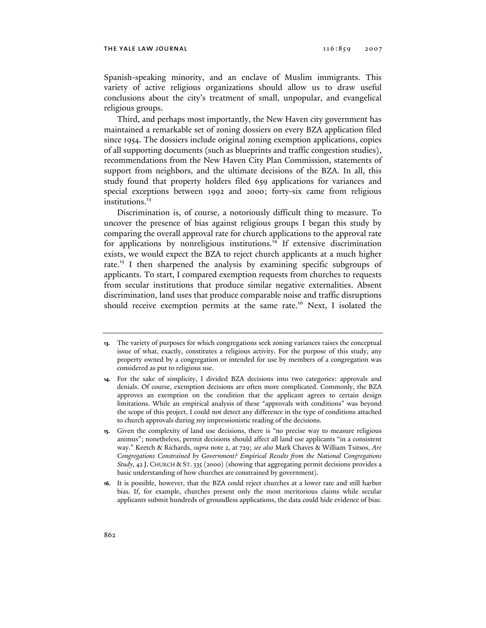Spanish-speaking minority, and an enclave of Muslim immigrants. This variety of active religious organizations should allow us to draw useful conclusions about the city's treatment of small, unpopular, and evangelical religious groups.

Third, and perhaps most importantly, the New Haven city government has maintained a remarkable set of zoning dossiers on every BZA application filed since 1954. The dossiers include original zoning exemption applications, copies of all supporting documents (such as blueprints and traffic congestion studies), recommendations from the New Haven City Plan Commission, statements of support from neighbors, and the ultimate decisions of the BZA. In all, this study found that property holders filed 659 applications for variances and special exceptions between 1992 and 2000; forty-six came from religious institutions.<sup>13</sup>

Discrimination is, of course, a notoriously difficult thing to measure. To uncover the presence of bias against religious groups I began this study by comparing the overall approval rate for church applications to the approval rate for applications by nonreligious institutions.<sup>14</sup> If extensive discrimination exists, we would expect the BZA to reject church applicants at a much higher rate.<sup>15</sup> I then sharpened the analysis by examining specific subgroups of applicants. To start, I compared exemption requests from churches to requests from secular institutions that produce similar negative externalities. Absent discrimination, land uses that produce comparable noise and traffic disruptions should receive exemption permits at the same rate.<sup>16</sup> Next, I isolated the

**<sup>13.</sup>** The variety of purposes for which congregations seek zoning variances raises the conceptual issue of what, exactly, constitutes a religious activity. For the purpose of this study, any property owned by a congregation or intended for use by members of a congregation was considered as put to religious use.

**<sup>14.</sup>** For the sake of simplicity, I divided BZA decisions into two categories: approvals and denials. Of course, exemption decisions are often more complicated. Commonly, the BZA approves an exemption on the condition that the applicant agrees to certain design limitations. While an empirical analysis of these "approvals with conditions" was beyond the scope of this project, I could not detect any difference in the type of conditions attached to church approvals during my impressionistic reading of the decisions.

**<sup>15.</sup>** Given the complexity of land use decisions, there is "no precise way to measure religious animus"; nonetheless, permit decisions should affect all land use applicants "in a consistent way." Keetch & Richards, *supra* note 2, at 729; *see also* Mark Chaves & William Tsitsos, *Are Congregations Constrained by Government? Empirical Results from the National Congregations Study*, 42 J. CHURCH & ST. 335 (2000) (showing that aggregating permit decisions provides a basic understanding of how churches are constrained by government).

**<sup>16.</sup>** It is possible, however, that the BZA could reject churches at a lower rate and still harbor bias. If, for example, churches present only the most meritorious claims while secular applicants submit hundreds of groundless applications, the data could hide evidence of bias.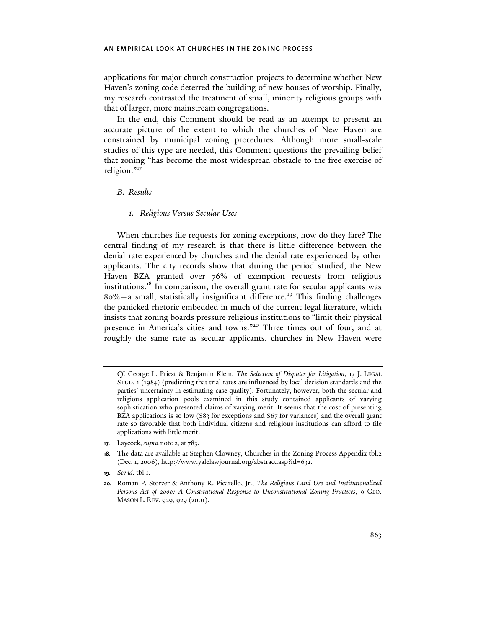applications for major church construction projects to determine whether New Haven's zoning code deterred the building of new houses of worship. Finally, my research contrasted the treatment of small, minority religious groups with that of larger, more mainstream congregations.

In the end, this Comment should be read as an attempt to present an accurate picture of the extent to which the churches of New Haven are constrained by municipal zoning procedures. Although more small-scale studies of this type are needed, this Comment questions the prevailing belief that zoning "has become the most widespread obstacle to the free exercise of religion."17

# *B. Results*

# *1. Religious Versus Secular Uses*

When churches file requests for zoning exceptions, how do they fare? The central finding of my research is that there is little difference between the denial rate experienced by churches and the denial rate experienced by other applicants. The city records show that during the period studied, the New Haven BZA granted over 76% of exemption requests from religious institutions.<sup>18</sup> In comparison, the overall grant rate for secular applicants was  $80\%$  – a small, statistically insignificant difference.<sup>19</sup> This finding challenges the panicked rhetoric embedded in much of the current legal literature, which insists that zoning boards pressure religious institutions to "limit their physical presence in America's cities and towns."20 Three times out of four, and at roughly the same rate as secular applicants, churches in New Haven were

**17.** Laycock, *supra* note 2, at 783.

*Cf.* George L. Priest & Benjamin Klein, *The Selection of Disputes for Litigation*, 13 J. LEGAL STUD. 1 (1984) (predicting that trial rates are influenced by local decision standards and the parties' uncertainty in estimating case quality). Fortunately, however, both the secular and religious application pools examined in this study contained applicants of varying sophistication who presented claims of varying merit. It seems that the cost of presenting BZA applications is so low (\$83 for exceptions and \$67 for variances) and the overall grant rate so favorable that both individual citizens and religious institutions can afford to file applications with little merit.

**<sup>18.</sup>** The data are available at Stephen Clowney, Churches in the Zoning Process Appendix tbl.2 (Dec. 1, 2006), http://www.yalelawjournal.org/abstract.asp?id=632.

**<sup>19.</sup>** *See id.* tbl.1.

**<sup>20.</sup>** Roman P. Storzer & Anthony R. Picarello, Jr., *The Religious Land Use and Institutionalized Persons Act of 2000: A Constitutional Response to Unconstitutional Zoning Practices*, 9 GEO. MASON L. REV. 929, 929 (2001).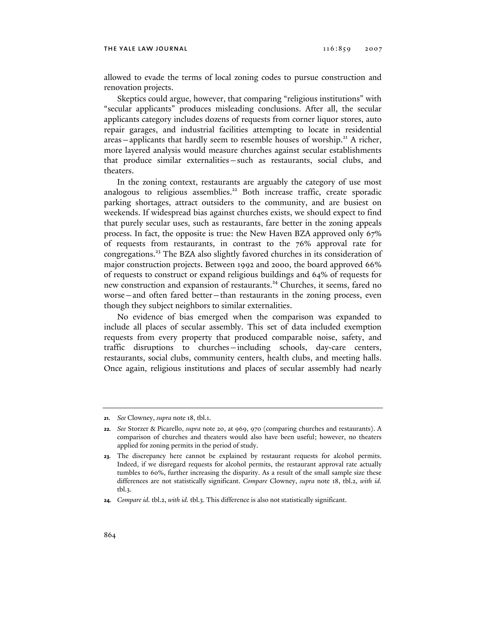allowed to evade the terms of local zoning codes to pursue construction and renovation projects.

Skeptics could argue, however, that comparing "religious institutions" with "secular applicants" produces misleading conclusions. After all, the secular applicants category includes dozens of requests from corner liquor stores, auto repair garages, and industrial facilities attempting to locate in residential  $areas$  – applicants that hardly seem to resemble houses of worship.<sup>21</sup> A richer, more layered analysis would measure churches against secular establishments that produce similar externalities—such as restaurants, social clubs, and theaters.

In the zoning context, restaurants are arguably the category of use most analogous to religious assemblies.<sup>22</sup> Both increase traffic, create sporadic parking shortages, attract outsiders to the community, and are busiest on weekends. If widespread bias against churches exists, we should expect to find that purely secular uses, such as restaurants, fare better in the zoning appeals process. In fact, the opposite is true: the New Haven BZA approved only 67% of requests from restaurants, in contrast to the 76% approval rate for congregations.23 The BZA also slightly favored churches in its consideration of major construction projects. Between 1992 and 2000, the board approved 66% of requests to construct or expand religious buildings and 64% of requests for new construction and expansion of restaurants.<sup>24</sup> Churches, it seems, fared no worse—and often fared better—than restaurants in the zoning process, even though they subject neighbors to similar externalities.

No evidence of bias emerged when the comparison was expanded to include all places of secular assembly. This set of data included exemption requests from every property that produced comparable noise, safety, and traffic disruptions to churches—including schools, day-care centers, restaurants, social clubs, community centers, health clubs, and meeting halls. Once again, religious institutions and places of secular assembly had nearly

**<sup>21.</sup>** *See* Clowney, *supra* note 18, tbl.1.

**<sup>22.</sup>** *See* Storzer & Picarello, *supra* note 20, at 969, 970 (comparing churches and restaurants). A comparison of churches and theaters would also have been useful; however, no theaters applied for zoning permits in the period of study.

**<sup>23.</sup>** The discrepancy here cannot be explained by restaurant requests for alcohol permits. Indeed, if we disregard requests for alcohol permits, the restaurant approval rate actually tumbles to 60%, further increasing the disparity. As a result of the small sample size these differences are not statistically significant. *Compare* Clowney, *supra* note 18, tbl.2, *with id.*  tbl.3.

**<sup>24.</sup>** *Compare id.* tbl.2, *with id.* tbl.3. This difference is also not statistically significant.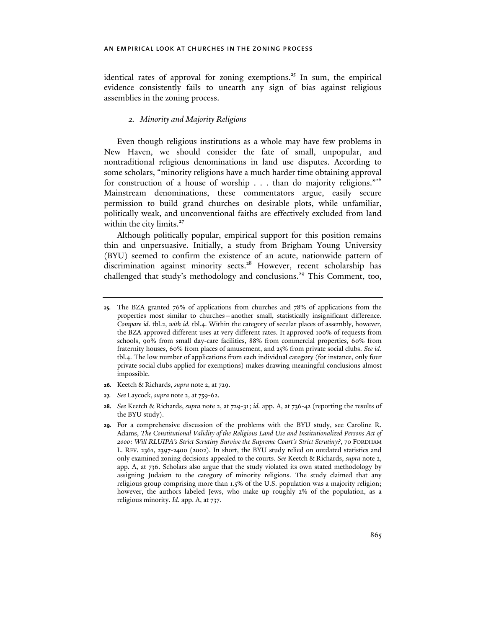identical rates of approval for zoning exemptions.<sup>25</sup> In sum, the empirical evidence consistently fails to unearth any sign of bias against religious assemblies in the zoning process.

# *2. Minority and Majority Religions*

Even though religious institutions as a whole may have few problems in New Haven, we should consider the fate of small, unpopular, and nontraditional religious denominations in land use disputes. According to some scholars, "minority religions have a much harder time obtaining approval for construction of a house of worship . . . than do majority religions."<sup>26</sup> Mainstream denominations, these commentators argue, easily secure permission to build grand churches on desirable plots, while unfamiliar, politically weak, and unconventional faiths are effectively excluded from land within the city limits. $27$ 

Although politically popular, empirical support for this position remains thin and unpersuasive. Initially, a study from Brigham Young University (BYU) seemed to confirm the existence of an acute, nationwide pattern of discrimination against minority sects.<sup>28</sup> However, recent scholarship has challenged that study's methodology and conclusions.<sup>29</sup> This Comment, too,

- **26.** Keetch & Richards, *supra* note 2, at 729.
- **27.** *See* Laycock, *supra* note 2, at 759-62.

**<sup>25.</sup>** The BZA granted 76% of applications from churches and 78% of applications from the properties most similar to churches—another small, statistically insignificant difference. *Compare id.* tbl.2, *with id.* tbl.4. Within the category of secular places of assembly, however, the BZA approved different uses at very different rates. It approved 100% of requests from schools, 90% from small day-care facilities, 88% from commercial properties, 60% from fraternity houses, 60% from places of amusement, and 25% from private social clubs. *See id*. tbl.4. The low number of applications from each individual category (for instance, only four private social clubs applied for exemptions) makes drawing meaningful conclusions almost impossible.

**<sup>28.</sup>** *See* Keetch & Richards, *supra* note 2, at 729-31; *id.* app. A, at 736-42 (reporting the results of the BYU study).

**<sup>29.</sup>** For a comprehensive discussion of the problems with the BYU study, see Caroline R. Adams, *The Constitutional Validity of the Religious Land Use and Institutionalized Persons Act of 2000: Will RLUIPA's Strict Scrutiny Survive the Supreme Court's Strict Scrutiny?*, 70 FORDHAM L. REV. 2361, 2397-2400 (2002). In short, the BYU study relied on outdated statistics and only examined zoning decisions appealed to the courts. *See* Keetch & Richards, *supra* note 2, app. A, at 736. Scholars also argue that the study violated its own stated methodology by assigning Judaism to the category of minority religions. The study claimed that any religious group comprising more than 1.5% of the U.S. population was a majority religion; however, the authors labeled Jews, who make up roughly 2% of the population, as a religious minority. *Id.* app. A, at 737.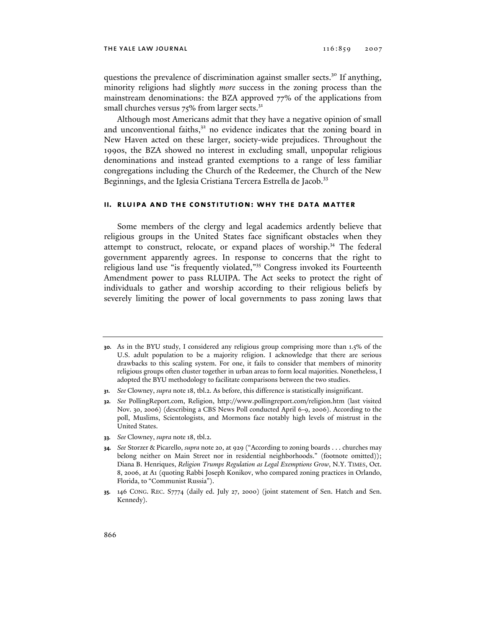questions the prevalence of discrimination against smaller sects.<sup>30</sup> If anything, minority religions had slightly *more* success in the zoning process than the mainstream denominations: the BZA approved 77% of the applications from small churches versus  $75\%$  from larger sects. $31$ 

Although most Americans admit that they have a negative opinion of small and unconventional faiths, $3<sup>2</sup>$  no evidence indicates that the zoning board in New Haven acted on these larger, society-wide prejudices. Throughout the 1990s, the BZA showed no interest in excluding small, unpopular religious denominations and instead granted exemptions to a range of less familiar congregations including the Church of the Redeemer, the Church of the New Beginnings, and the Iglesia Cristiana Tercera Estrella de Jacob.<sup>33</sup>

#### **ii. rluipa and the constitution: why the data matter**

Some members of the clergy and legal academics ardently believe that religious groups in the United States face significant obstacles when they attempt to construct, relocate, or expand places of worship.<sup>34</sup> The federal government apparently agrees. In response to concerns that the right to religious land use "is frequently violated,"35 Congress invoked its Fourteenth Amendment power to pass RLUIPA. The Act seeks to protect the right of individuals to gather and worship according to their religious beliefs by severely limiting the power of local governments to pass zoning laws that

**33.** *See* Clowney, *supra* note 18, tbl.2.

**<sup>30.</sup>** As in the BYU study, I considered any religious group comprising more than 1.5% of the U.S. adult population to be a majority religion. I acknowledge that there are serious drawbacks to this scaling system. For one, it fails to consider that members of minority religious groups often cluster together in urban areas to form local majorities. Nonetheless, I adopted the BYU methodology to facilitate comparisons between the two studies.

**<sup>31.</sup>** *See* Clowney, *supra* note 18, tbl.2. As before, this difference is statistically insignificant.

**<sup>32.</sup>** *See* PollingReport.com, Religion, http://www.pollingreport.com/religion.htm (last visited Nov. 30, 2006) (describing a CBS News Poll conducted April 6-9, 2006). According to the poll, Muslims, Scientologists, and Mormons face notably high levels of mistrust in the United States.

**<sup>34.</sup>** *See* Storzer & Picarello, *supra* note 20, at 929 ("According to zoning boards . . . churches may belong neither on Main Street nor in residential neighborhoods." (footnote omitted)); Diana B. Henriques, *Religion Trumps Regulation as Legal Exemptions Grow*, N.Y. TIMES, Oct. 8, 2006, at A1 (quoting Rabbi Joseph Konikov, who compared zoning practices in Orlando, Florida, to "Communist Russia").

**<sup>35.</sup>** 146 CONG. REC. S7774 (daily ed. July 27, 2000) (joint statement of Sen. Hatch and Sen. Kennedy).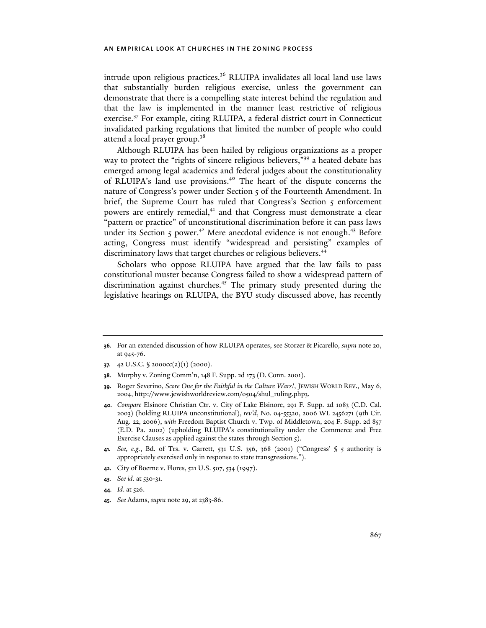intrude upon religious practices.<sup>36</sup> RLUIPA invalidates all local land use laws that substantially burden religious exercise, unless the government can demonstrate that there is a compelling state interest behind the regulation and that the law is implemented in the manner least restrictive of religious exercise.<sup>37</sup> For example, citing RLUIPA, a federal district court in Connecticut invalidated parking regulations that limited the number of people who could attend a local prayer group.<sup>38</sup>

Although RLUIPA has been hailed by religious organizations as a proper way to protect the "rights of sincere religious believers,"<sup>39</sup> a heated debate has emerged among legal academics and federal judges about the constitutionality of RLUIPA's land use provisions.40 The heart of the dispute concerns the nature of Congress's power under Section 5 of the Fourteenth Amendment. In brief, the Supreme Court has ruled that Congress's Section 5 enforcement powers are entirely remedial,<sup>41</sup> and that Congress must demonstrate a clear "pattern or practice" of unconstitutional discrimination before it can pass laws under its Section 5 power.<sup>42</sup> Mere anecdotal evidence is not enough.<sup>43</sup> Before acting, Congress must identify "widespread and persisting" examples of discriminatory laws that target churches or religious believers.<sup>44</sup>

Scholars who oppose RLUIPA have argued that the law fails to pass constitutional muster because Congress failed to show a widespread pattern of discrimination against churches.<sup>45</sup> The primary study presented during the legislative hearings on RLUIPA, the BYU study discussed above, has recently

**<sup>36.</sup>** For an extended discussion of how RLUIPA operates, see Storzer & Picarello, *supra* note 20, at 945-76.

**<sup>37.</sup>** 42 U.S.C. § 2000cc(a)(1) (2000).

**<sup>38.</sup>** Murphy v. Zoning Comm'n, 148 F. Supp. 2d 173 (D. Conn. 2001).

**<sup>39.</sup>** Roger Severino, *Score One for the Faithful in the Culture Wars!*, JEWISH WORLD REV., May 6, 2004, http://www.jewishworldreview.com/0504/shul\_ruling.php3.

**<sup>40.</sup>** *Compare* Elsinore Christian Ctr. v. City of Lake Elsinore, 291 F. Supp. 2d 1083 (C.D. Cal. 2003) (holding RLUIPA unconstitutional), *rev'd*, No. 04-55320, 2006 WL 2456271 (9th Cir. Aug. 22, 2006), *with* Freedom Baptist Church v. Twp. of Middletown, 204 F. Supp. 2d 857 (E.D. Pa. 2002) (upholding RLUIPA's constitutionality under the Commerce and Free Exercise Clauses as applied against the states through Section 5).

**<sup>41.</sup>** *See, e.g.*, Bd. of Trs. v. Garrett, 531 U.S. 356, 368 (2001) ("Congress' § 5 authority is appropriately exercised only in response to state transgressions.").

**<sup>42.</sup>** City of Boerne v. Flores, 521 U.S. 507, 534 (1997).

**<sup>43.</sup>** *See id*. at 530-31.

**<sup>44.</sup>** *Id*. at 526.

**<sup>45.</sup>** *See* Adams, *supra* note 29, at 2383-86.